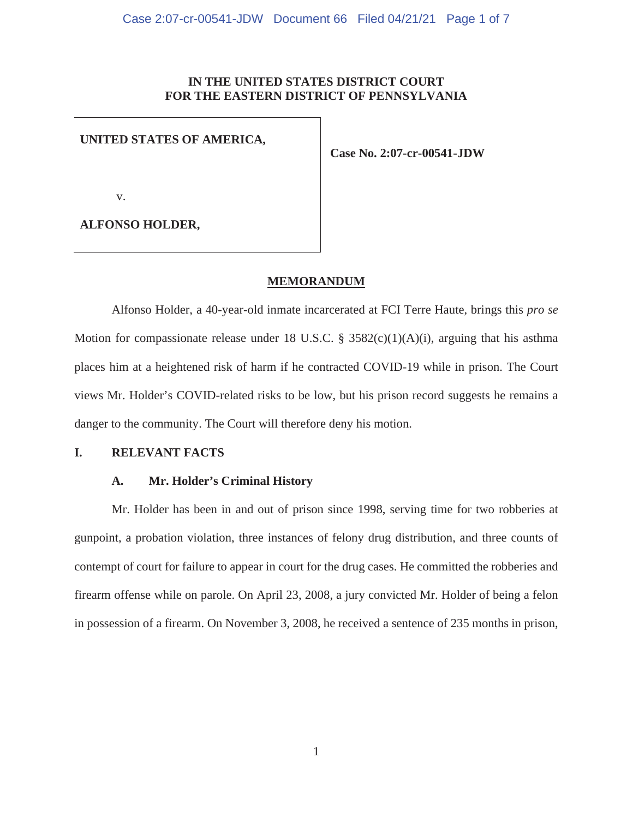## **IN THE UNITED STATES DISTRICT COURT FOR THE EASTERN DISTRICT OF PENNSYLVANIA**

## **UNITED STATES OF AMERICA,**

**Case No. 2:07-cr-00541-JDW**

v.

**ALFONSO HOLDER,** 

### **MEMORANDUM**

Alfonso Holder, a 40-year-old inmate incarcerated at FCI Terre Haute, brings this *pro se* Motion for compassionate release under 18 U.S.C. § 3582 $(c)(1)(A)(i)$ , arguing that his asthma places him at a heightened risk of harm if he contracted COVID-19 while in prison. The Court views Mr. Holder's COVID-related risks to be low, but his prison record suggests he remains a danger to the community. The Court will therefore deny his motion.

## **I. RELEVANT FACTS**

## **A. Mr. Holder's Criminal History**

Mr. Holder has been in and out of prison since 1998, serving time for two robberies at gunpoint, a probation violation, three instances of felony drug distribution, and three counts of contempt of court for failure to appear in court for the drug cases. He committed the robberies and firearm offense while on parole. On April 23, 2008, a jury convicted Mr. Holder of being a felon in possession of a firearm. On November 3, 2008, he received a sentence of 235 months in prison,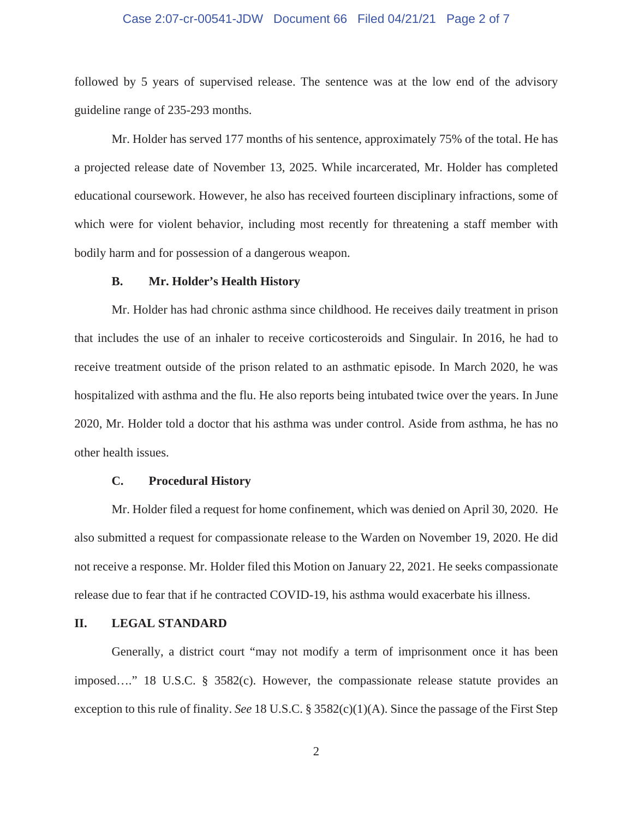## Case 2:07-cr-00541-JDW Document 66 Filed 04/21/21 Page 2 of 7

followed by 5 years of supervised release. The sentence was at the low end of the advisory guideline range of 235-293 months.

Mr. Holder has served 177 months of his sentence, approximately 75% of the total. He has a projected release date of November 13, 2025. While incarcerated, Mr. Holder has completed educational coursework. However, he also has received fourteen disciplinary infractions, some of which were for violent behavior, including most recently for threatening a staff member with bodily harm and for possession of a dangerous weapon.

#### **B. Mr. Holder's Health History**

Mr. Holder has had chronic asthma since childhood. He receives daily treatment in prison that includes the use of an inhaler to receive corticosteroids and Singulair. In 2016, he had to receive treatment outside of the prison related to an asthmatic episode. In March 2020, he was hospitalized with asthma and the flu. He also reports being intubated twice over the years. In June 2020, Mr. Holder told a doctor that his asthma was under control. Aside from asthma, he has no other health issues.

### **C. Procedural History**

Mr. Holder filed a request for home confinement, which was denied on April 30, 2020. He also submitted a request for compassionate release to the Warden on November 19, 2020. He did not receive a response. Mr. Holder filed this Motion on January 22, 2021. He seeks compassionate release due to fear that if he contracted COVID-19, his asthma would exacerbate his illness.

## **II. LEGAL STANDARD**

Generally, a district court "may not modify a term of imprisonment once it has been imposed…." 18 U.S.C. § 3582(c). However, the compassionate release statute provides an exception to this rule of finality. *See* 18 U.S.C. § 3582(c)(1)(A). Since the passage of the First Step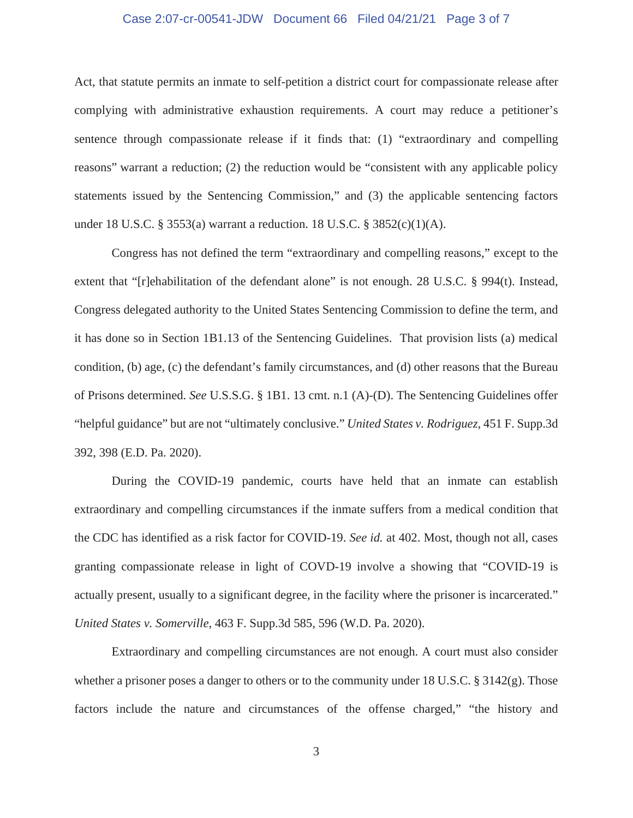## Case 2:07-cr-00541-JDW Document 66 Filed 04/21/21 Page 3 of 7

Act, that statute permits an inmate to self-petition a district court for compassionate release after complying with administrative exhaustion requirements. A court may reduce a petitioner's sentence through compassionate release if it finds that: (1) "extraordinary and compelling reasons" warrant a reduction; (2) the reduction would be "consistent with any applicable policy statements issued by the Sentencing Commission," and (3) the applicable sentencing factors under 18 U.S.C. § 3553(a) warrant a reduction. 18 U.S.C. § 3852(c)(1)(A).

Congress has not defined the term "extraordinary and compelling reasons," except to the extent that "[r]ehabilitation of the defendant alone" is not enough. 28 U.S.C. § 994(t). Instead, Congress delegated authority to the United States Sentencing Commission to define the term, and it has done so in Section 1B1.13 of the Sentencing Guidelines. That provision lists (a) medical condition, (b) age, (c) the defendant's family circumstances, and (d) other reasons that the Bureau of Prisons determined. *See* U.S.S.G. § 1B1. 13 cmt. n.1 (A)-(D). The Sentencing Guidelines offer "helpful guidance" but are not "ultimately conclusive." *United States v. Rodriguez*, 451 F. Supp.3d 392, 398 (E.D. Pa. 2020).

During the COVID-19 pandemic, courts have held that an inmate can establish extraordinary and compelling circumstances if the inmate suffers from a medical condition that the CDC has identified as a risk factor for COVID-19. *See id.* at 402. Most, though not all, cases granting compassionate release in light of COVD-19 involve a showing that "COVID-19 is actually present, usually to a significant degree, in the facility where the prisoner is incarcerated." *United States v. Somerville*, 463 F. Supp.3d 585, 596 (W.D. Pa. 2020).

Extraordinary and compelling circumstances are not enough. A court must also consider whether a prisoner poses a danger to others or to the community under 18 U.S.C. § 3142(g). Those factors include the nature and circumstances of the offense charged," "the history and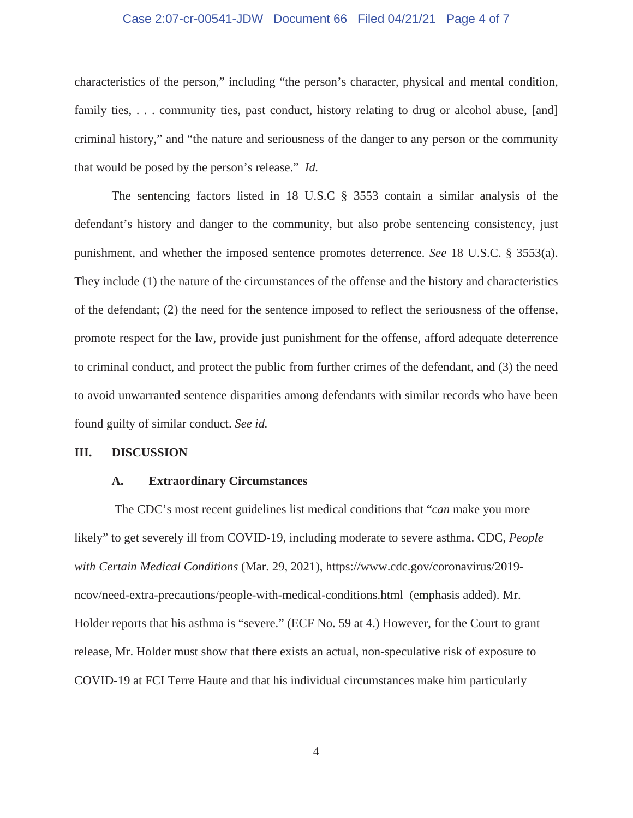## Case 2:07-cr-00541-JDW Document 66 Filed 04/21/21 Page 4 of 7

characteristics of the person," including "the person's character, physical and mental condition, family ties, ... community ties, past conduct, history relating to drug or alcohol abuse, [and] criminal history," and "the nature and seriousness of the danger to any person or the community that would be posed by the person's release." *Id.*

The sentencing factors listed in 18 U.S.C § 3553 contain a similar analysis of the defendant's history and danger to the community, but also probe sentencing consistency, just punishment, and whether the imposed sentence promotes deterrence. *See* 18 U.S.C. § 3553(a). They include (1) the nature of the circumstances of the offense and the history and characteristics of the defendant; (2) the need for the sentence imposed to reflect the seriousness of the offense, promote respect for the law, provide just punishment for the offense, afford adequate deterrence to criminal conduct, and protect the public from further crimes of the defendant, and (3) the need to avoid unwarranted sentence disparities among defendants with similar records who have been found guilty of similar conduct. *See id.*

#### **III. DISCUSSION**

### **A. Extraordinary Circumstances**

 The CDC's most recent guidelines list medical conditions that "*can* make you more likely" to get severely ill from COVID-19, including moderate to severe asthma. CDC, *People with Certain Medical Conditions* (Mar. 29, 2021), https://www.cdc.gov/coronavirus/2019 ncov/need-extra-precautions/people-with-medical-conditions.html (emphasis added). Mr. Holder reports that his asthma is "severe." (ECF No. 59 at 4.) However, for the Court to grant release, Mr. Holder must show that there exists an actual, non-speculative risk of exposure to COVID-19 at FCI Terre Haute and that his individual circumstances make him particularly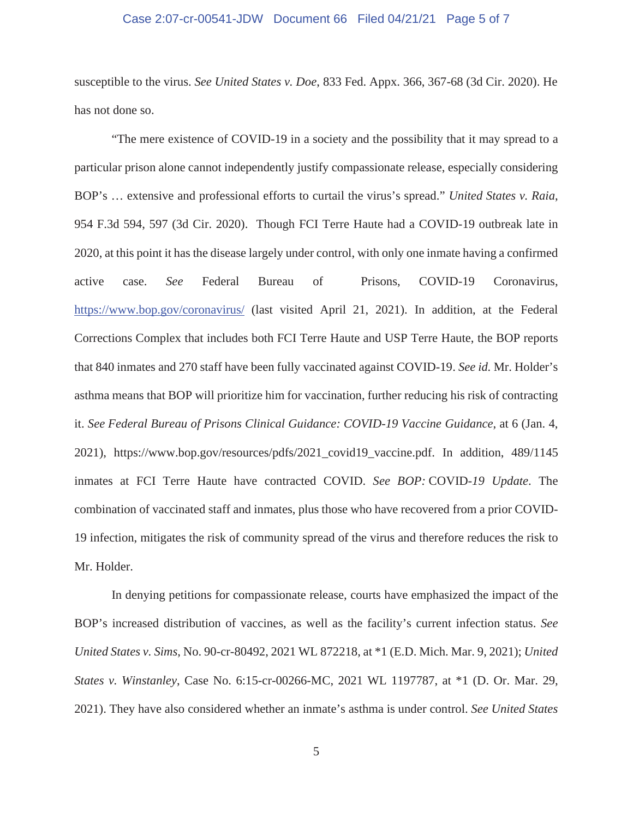## Case 2:07-cr-00541-JDW Document 66 Filed 04/21/21 Page 5 of 7

susceptible to the virus. *See United States v. Doe*, 833 Fed. Appx. 366, 367-68 (3d Cir. 2020). He has not done so.

"The mere existence of COVID-19 in a society and the possibility that it may spread to a particular prison alone cannot independently justify compassionate release, especially considering BOP's … extensive and professional efforts to curtail the virus's spread." *United States v. Raia*, 954 F.3d 594, 597 (3d Cir. 2020). Though FCI Terre Haute had a COVID-19 outbreak late in 2020, at this point it has the disease largely under control, with only one inmate having a confirmed active case. *See* Federal Bureau of Prisons, COVID-19 Coronavirus, https://www.bop.gov/coronavirus/ (last visited April 21, 2021). In addition, at the Federal Corrections Complex that includes both FCI Terre Haute and USP Terre Haute, the BOP reports that 840 inmates and 270 staff have been fully vaccinated against COVID-19. *See id.* Mr. Holder's asthma means that BOP will prioritize him for vaccination, further reducing his risk of contracting it. *See Federal Bureau of Prisons Clinical Guidance: COVID-19 Vaccine Guidance*, at 6 (Jan. 4, 2021), https://www.bop.gov/resources/pdfs/2021\_covid19\_vaccine.pdf. In addition, 489/1145 inmates at FCI Terre Haute have contracted COVID. *See BOP:* COVID-*19 Update*. The combination of vaccinated staff and inmates, plus those who have recovered from a prior COVID-19 infection, mitigates the risk of community spread of the virus and therefore reduces the risk to Mr. Holder.

In denying petitions for compassionate release, courts have emphasized the impact of the BOP's increased distribution of vaccines, as well as the facility's current infection status. *See United States v. Sims*, No. 90-cr-80492, 2021 WL 872218, at \*1 (E.D. Mich. Mar. 9, 2021); *United States v. Winstanley*, Case No. 6:15-cr-00266-MC, 2021 WL 1197787, at \*1 (D. Or. Mar. 29, 2021). They have also considered whether an inmate's asthma is under control. *See United States*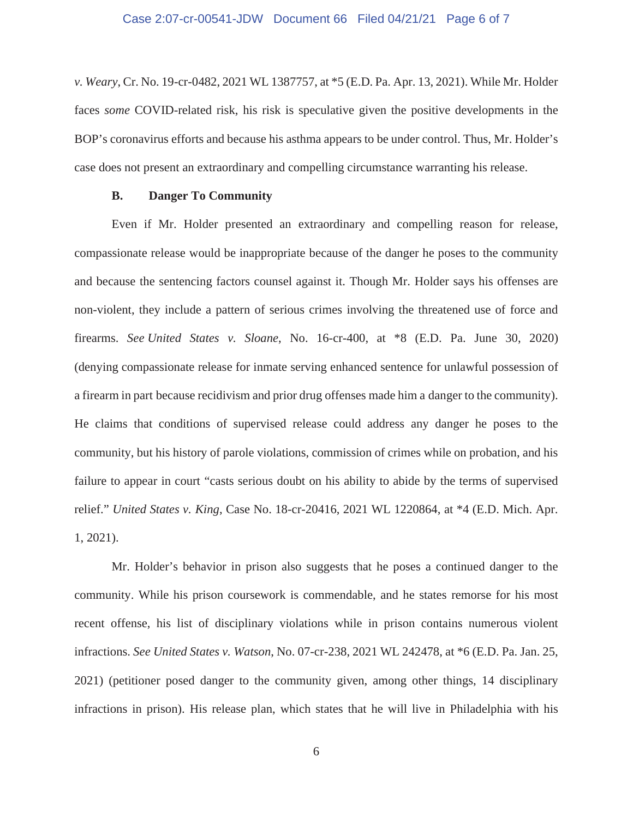### Case 2:07-cr-00541-JDW Document 66 Filed 04/21/21 Page 6 of 7

*v. Weary*, Cr. No. 19-cr-0482, 2021 WL 1387757, at \*5 (E.D. Pa. Apr. 13, 2021). While Mr. Holder faces *some* COVID-related risk, his risk is speculative given the positive developments in the BOP's coronavirus efforts and because his asthma appears to be under control. Thus, Mr. Holder's case does not present an extraordinary and compelling circumstance warranting his release.

## **B. Danger To Community**

Even if Mr. Holder presented an extraordinary and compelling reason for release, compassionate release would be inappropriate because of the danger he poses to the community and because the sentencing factors counsel against it. Though Mr. Holder says his offenses are non-violent, they include a pattern of serious crimes involving the threatened use of force and firearms. *See United States v. Sloane*, No. 16-cr-400, at \*8 (E.D. Pa. June 30, 2020) (denying compassionate release for inmate serving enhanced sentence for unlawful possession of a firearm in part because recidivism and prior drug offenses made him a danger to the community). He claims that conditions of supervised release could address any danger he poses to the community, but his history of parole violations, commission of crimes while on probation, and his failure to appear in court "casts serious doubt on his ability to abide by the terms of supervised relief." *United States v. King*, Case No. 18-cr-20416, 2021 WL 1220864, at \*4 (E.D. Mich. Apr. 1, 2021).

Mr. Holder's behavior in prison also suggests that he poses a continued danger to the community. While his prison coursework is commendable, and he states remorse for his most recent offense, his list of disciplinary violations while in prison contains numerous violent infractions. *See United States v. Watson*, No. 07-cr-238, 2021 WL 242478, at \*6 (E.D. Pa. Jan. 25, 2021) (petitioner posed danger to the community given, among other things, 14 disciplinary infractions in prison). His release plan, which states that he will live in Philadelphia with his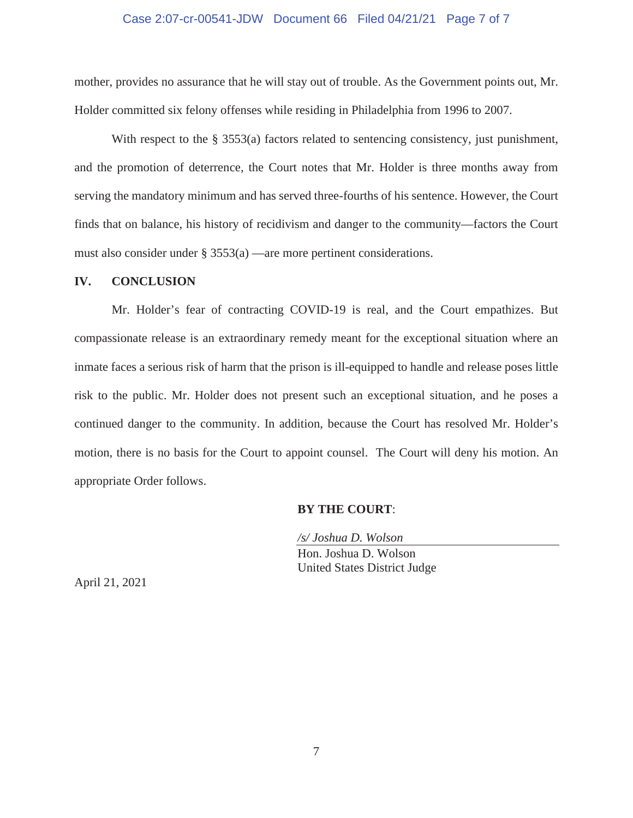## Case 2:07-cr-00541-JDW Document 66 Filed 04/21/21 Page 7 of 7

mother, provides no assurance that he will stay out of trouble. As the Government points out, Mr. Holder committed six felony offenses while residing in Philadelphia from 1996 to 2007.

With respect to the § 3553(a) factors related to sentencing consistency, just punishment, and the promotion of deterrence, the Court notes that Mr. Holder is three months away from serving the mandatory minimum and has served three-fourths of his sentence. However, the Court finds that on balance, his history of recidivism and danger to the community—factors the Court must also consider under § 3553(a) —are more pertinent considerations.

#### **IV. CONCLUSION**

Mr. Holder's fear of contracting COVID-19 is real, and the Court empathizes. But compassionate release is an extraordinary remedy meant for the exceptional situation where an inmate faces a serious risk of harm that the prison is ill-equipped to handle and release poses little risk to the public. Mr. Holder does not present such an exceptional situation, and he poses a continued danger to the community. In addition, because the Court has resolved Mr. Holder's motion, there is no basis for the Court to appoint counsel. The Court will deny his motion. An appropriate Order follows.

#### **BY THE COURT**:

*/s/ Joshua D. Wolson*  Hon. Joshua D. Wolson United States District Judge

April 21, 2021